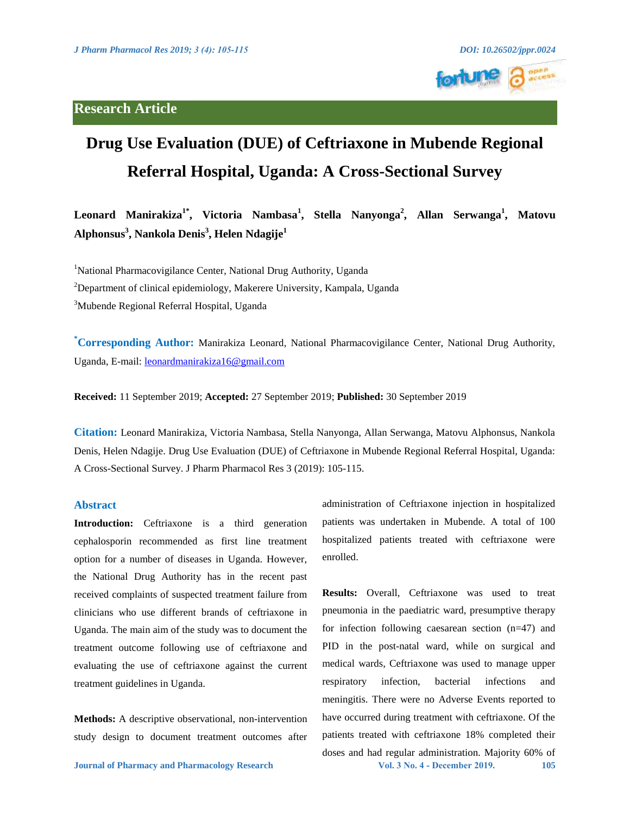

# **Drug Use Evaluation (DUE) of Ceftriaxone in Mubende Regional Referral Hospital, Uganda: A Cross-Sectional Survey**

**Leonard Manirakiza1\*, Victoria Nambasa1 , Stella Nanyonga<sup>2</sup> , Allan Serwanga<sup>1</sup> , Matovu Alphonsus<sup>3</sup> , Nankola Denis<sup>3</sup> , Helen Ndagije<sup>1</sup>**

<sup>1</sup>National Pharmacovigilance Center, National Drug Authority, Uganda <sup>2</sup>Department of clinical epidemiology, Makerere University, Kampala, Uganda <sup>3</sup>Mubende Regional Referral Hospital, Uganda

**\* Corresponding Author:** Manirakiza Leonard, National Pharmacovigilance Center, National Drug Authority, Uganda, E-mail: [leonardmanirakiza16@gmail.com](mailto:leonardmanirakiza16@gmail.com) 

**Received:** 11 September 2019; **Accepted:** 27 September 2019; **Published:** 30 September 2019

**Citation:** Leonard Manirakiza, Victoria Nambasa, Stella Nanyonga, Allan Serwanga, Matovu Alphonsus, Nankola Denis, Helen Ndagije. Drug Use Evaluation (DUE) of Ceftriaxone in Mubende Regional Referral Hospital, Uganda: A Cross-Sectional Survey. J Pharm Pharmacol Res 3 (2019): 105-115.

### **Abstract**

**Introduction:** Ceftriaxone is a third generation cephalosporin recommended as first line treatment option for a number of diseases in Uganda. However, the National Drug Authority has in the recent past received complaints of suspected treatment failure from clinicians who use different brands of ceftriaxone in Uganda. The main aim of the study was to document the treatment outcome following use of ceftriaxone and evaluating the use of ceftriaxone against the current treatment guidelines in Uganda.

**Methods:** A descriptive observational, non-intervention study design to document treatment outcomes after administration of Ceftriaxone injection in hospitalized patients was undertaken in Mubende. A total of 100 hospitalized patients treated with ceftriaxone were enrolled.

**Journal of Pharmacy and Pharmacology Research Vol. 3 No. 4 - December 2019. 105 Results:** Overall, Ceftriaxone was used to treat pneumonia in the paediatric ward, presumptive therapy for infection following caesarean section (n=47) and PID in the post-natal ward, while on surgical and medical wards, Ceftriaxone was used to manage upper respiratory infection, bacterial infections and meningitis. There were no Adverse Events reported to have occurred during treatment with ceftriaxone. Of the patients treated with ceftriaxone 18% completed their doses and had regular administration. Majority 60% of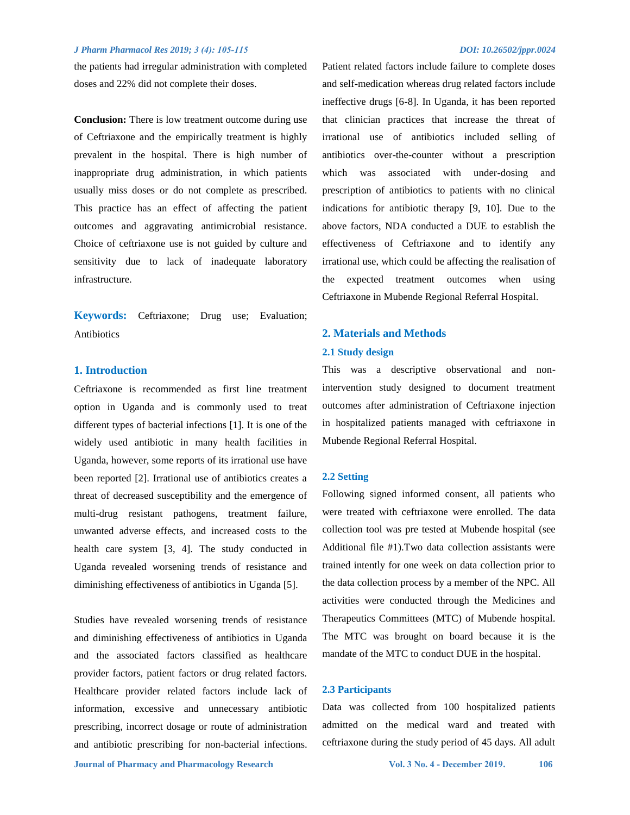the patients had irregular administration with completed doses and 22% did not complete their doses.

**Conclusion:** There is low treatment outcome during use of Ceftriaxone and the empirically treatment is highly prevalent in the hospital. There is high number of inappropriate drug administration, in which patients usually miss doses or do not complete as prescribed. This practice has an effect of affecting the patient outcomes and aggravating antimicrobial resistance. Choice of ceftriaxone use is not guided by culture and sensitivity due to lack of inadequate laboratory infrastructure.

**Keywords:** Ceftriaxone; Drug use; Evaluation; Antibiotics

#### **1. Introduction**

Ceftriaxone is recommended as first line treatment option in Uganda and is commonly used to treat different types of bacterial infections [1]. It is one of the widely used antibiotic in many health facilities in Uganda, however, some reports of its irrational use have been reported [2]. Irrational use of antibiotics creates a threat of decreased susceptibility and the emergence of multi-drug resistant pathogens, treatment failure, unwanted adverse effects, and increased costs to the health care system [3, 4]. The study conducted in Uganda revealed worsening trends of resistance and diminishing effectiveness of antibiotics in Uganda [5].

Studies have revealed worsening trends of resistance and diminishing effectiveness of antibiotics in Uganda and the associated factors classified as healthcare provider factors, patient factors or drug related factors. Healthcare provider related factors include lack of information, excessive and unnecessary antibiotic prescribing, incorrect dosage or route of administration and antibiotic prescribing for non-bacterial infections. Patient related factors include failure to complete doses and self-medication whereas drug related factors include ineffective drugs [6-8]. In Uganda, it has been reported that clinician practices that increase the threat of irrational use of antibiotics included selling of antibiotics over-the-counter without a prescription which was associated with under-dosing and prescription of antibiotics to patients with no clinical indications for antibiotic therapy [9, 10]. Due to the above factors, NDA conducted a DUE to establish the effectiveness of Ceftriaxone and to identify any irrational use, which could be affecting the realisation of the expected treatment outcomes when using Ceftriaxone in Mubende Regional Referral Hospital.

## **2. Materials and Methods**

#### **2.1 Study design**

This was a descriptive observational and nonintervention study designed to document treatment outcomes after administration of Ceftriaxone injection in hospitalized patients managed with ceftriaxone in Mubende Regional Referral Hospital.

#### **2.2 Setting**

Following signed informed consent, all patients who were treated with ceftriaxone were enrolled. The data collection tool was pre tested at Mubende hospital (see Additional file #1).Two data collection assistants were trained intently for one week on data collection prior to the data collection process by a member of the NPC. All activities were conducted through the Medicines and Therapeutics Committees (MTC) of Mubende hospital. The MTC was brought on board because it is the mandate of the MTC to conduct DUE in the hospital.

#### **2.3 Participants**

Data was collected from 100 hospitalized patients admitted on the medical ward and treated with ceftriaxone during the study period of 45 days. All adult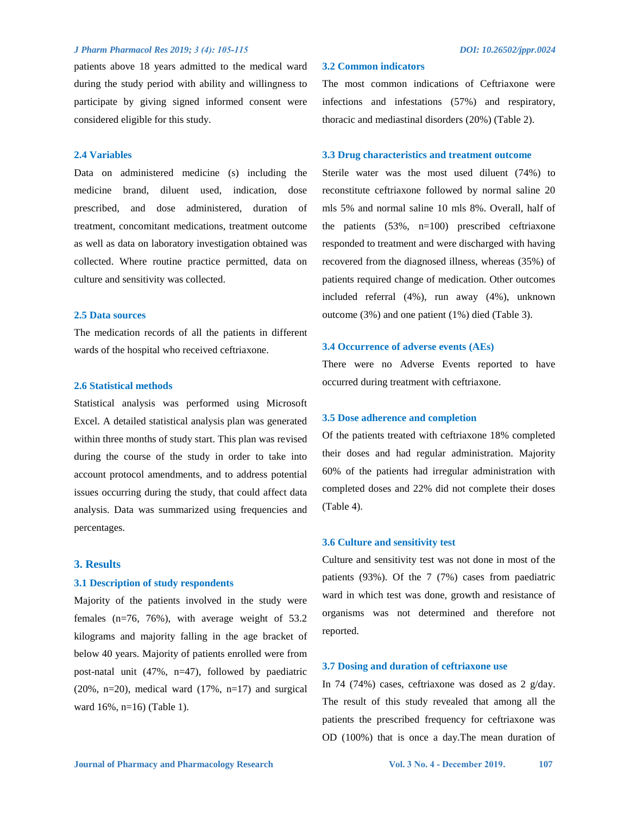patients above 18 years admitted to the medical ward during the study period with ability and willingness to participate by giving signed informed consent were considered eligible for this study.

#### **2.4 Variables**

Data on administered medicine (s) including the medicine brand, diluent used, indication, dose prescribed, and dose administered, duration of treatment, concomitant medications, treatment outcome as well as data on laboratory investigation obtained was collected. Where routine practice permitted, data on culture and sensitivity was collected.

#### **2.5 Data sources**

The medication records of all the patients in different wards of the hospital who received ceftriaxone.

#### **2.6 Statistical methods**

Statistical analysis was performed using Microsoft Excel. A detailed statistical analysis plan was generated within three months of study start. This plan was revised during the course of the study in order to take into account protocol amendments, and to address potential issues occurring during the study, that could affect data analysis. Data was summarized using frequencies and percentages.

#### **3. Results**

#### **3.1 Description of study respondents**

Majority of the patients involved in the study were females (n=76, 76%), with average weight of 53.2 kilograms and majority falling in the age bracket of below 40 years. Majority of patients enrolled were from post-natal unit (47%, n=47), followed by paediatric (20%, n=20), medical ward  $(17\% , n=17)$  and surgical ward 16%, n=16) (Table 1).

#### **3.2 Common indicators**

The most common indications of Ceftriaxone were infections and infestations (57%) and respiratory, thoracic and mediastinal disorders (20%) (Table 2).

#### **3.3 Drug characteristics and treatment outcome**

Sterile water was the most used diluent (74%) to reconstitute ceftriaxone followed by normal saline 20 mls 5% and normal saline 10 mls 8%. Overall, half of the patients (53%, n=100) prescribed ceftriaxone responded to treatment and were discharged with having recovered from the diagnosed illness, whereas (35%) of patients required change of medication. Other outcomes included referral (4%), run away (4%), unknown outcome (3%) and one patient (1%) died (Table 3).

#### **3.4 Occurrence of adverse events (AEs)**

There were no Adverse Events reported to have occurred during treatment with ceftriaxone.

#### **3.5 Dose adherence and completion**

Of the patients treated with ceftriaxone 18% completed their doses and had regular administration. Majority 60% of the patients had irregular administration with completed doses and 22% did not complete their doses (Table 4).

#### **3.6 Culture and sensitivity test**

Culture and sensitivity test was not done in most of the patients (93%). Of the 7 (7%) cases from paediatric ward in which test was done, growth and resistance of organisms was not determined and therefore not reported.

#### **3.7 Dosing and duration of ceftriaxone use**

In 74 (74%) cases, ceftriaxone was dosed as 2 g/day. The result of this study revealed that among all the patients the prescribed frequency for ceftriaxone was OD (100%) that is once a day.The mean duration of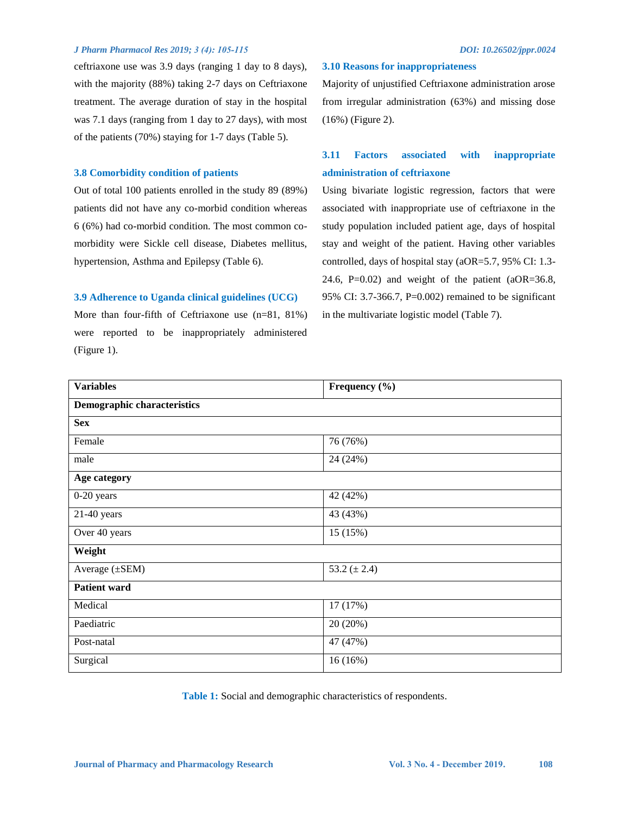ceftriaxone use was 3.9 days (ranging 1 day to 8 days), with the majority (88%) taking 2-7 days on Ceftriaxone treatment. The average duration of stay in the hospital was 7.1 days (ranging from 1 day to 27 days), with most of the patients (70%) staying for 1-7 days (Table 5).

#### **3.8 Comorbidity condition of patients**

Out of total 100 patients enrolled in the study 89 (89%) patients did not have any co-morbid condition whereas 6 (6%) had co-morbid condition. The most common comorbidity were Sickle cell disease, Diabetes mellitus, hypertension, Asthma and Epilepsy (Table 6).

#### **3.9 Adherence to Uganda clinical guidelines (UCG)**

More than four-fifth of Ceftriaxone use (n=81, 81%) were reported to be inappropriately administered (Figure 1).

#### **3.10 Reasons for inappropriateness**

Majority of unjustified Ceftriaxone administration arose from irregular administration (63%) and missing dose (16%) (Figure 2).

# **3.11 Factors associated with inappropriate administration of ceftriaxone**

Using bivariate logistic regression, factors that were associated with inappropriate use of ceftriaxone in the study population included patient age, days of hospital stay and weight of the patient. Having other variables controlled, days of hospital stay (aOR=5.7, 95% CI: 1.3- 24.6, P=0.02) and weight of the patient  $(aOR=36.8,$ 95% CI: 3.7-366.7, P=0.002) remained to be significant in the multivariate logistic model (Table 7).

| <b>Variables</b>                   | Frequency (%)    |  |
|------------------------------------|------------------|--|
| <b>Demographic characteristics</b> |                  |  |
| <b>Sex</b>                         |                  |  |
| Female                             | 76 (76%)         |  |
| male                               | 24 (24%)         |  |
| Age category                       |                  |  |
| 0-20 years                         | 42 (42%)         |  |
| $21-40$ years                      | 43 (43%)         |  |
| Over 40 years                      | 15 (15%)         |  |
| Weight                             |                  |  |
| Average $(\pm$ SEM)                | 53.2 $(\pm 2.4)$ |  |
| <b>Patient ward</b>                |                  |  |
| Medical                            | 17 (17%)         |  |
| Paediatric                         | 20 (20%)         |  |
| Post-natal                         | 47 (47%)         |  |
| Surgical                           | 16(16%)          |  |

**Table 1:** Social and demographic characteristics of respondents.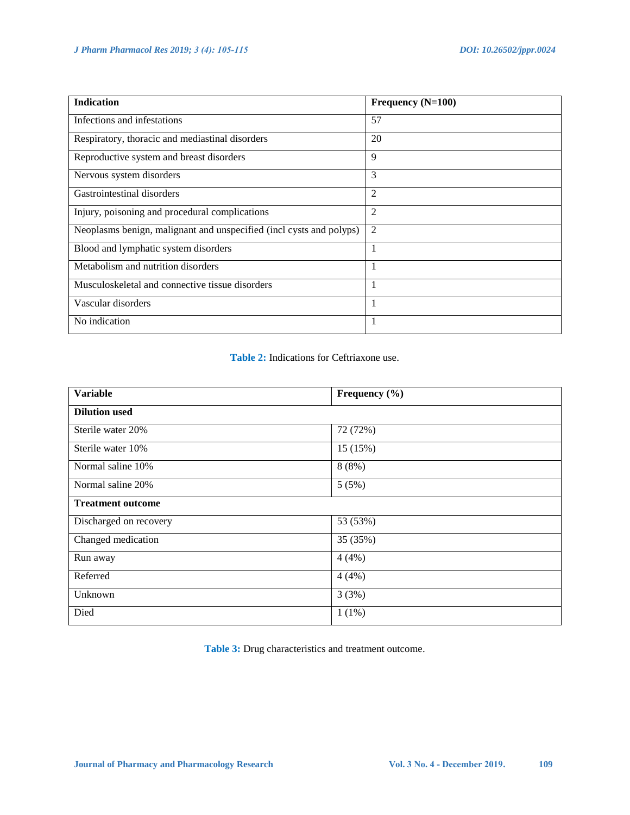| <b>Indication</b>                                                   | Frequency (N=100) |
|---------------------------------------------------------------------|-------------------|
| Infections and infestations                                         | 57                |
| Respiratory, thoracic and mediastinal disorders                     | 20                |
| Reproductive system and breast disorders                            | 9                 |
| Nervous system disorders                                            | 3                 |
| Gastrointestinal disorders                                          | 2                 |
| Injury, poisoning and procedural complications                      | $\overline{2}$    |
| Neoplasms benign, malignant and unspecified (incl cysts and polyps) | $\overline{2}$    |
| Blood and lymphatic system disorders                                | 1                 |
| Metabolism and nutrition disorders                                  | 1                 |
| Musculoskeletal and connective tissue disorders                     | 1                 |
| Vascular disorders                                                  | 1                 |
| No indication                                                       | 1                 |

# **Table 2:** Indications for Ceftriaxone use.

| <b>Variable</b>          | Frequency (%) |  |  |
|--------------------------|---------------|--|--|
| <b>Dilution used</b>     |               |  |  |
| Sterile water 20%        | 72 (72%)      |  |  |
| Sterile water 10%        | 15 (15%)      |  |  |
| Normal saline 10%        | 8(8%)         |  |  |
| Normal saline 20%        | 5(5%)         |  |  |
| <b>Treatment outcome</b> |               |  |  |
| Discharged on recovery   | 53 (53%)      |  |  |
| Changed medication       | 35 (35%)      |  |  |
| Run away                 | 4(4%)         |  |  |
| Referred                 | 4(4%)         |  |  |
| Unknown                  | 3(3%)         |  |  |
| Died                     | $1(1\%)$      |  |  |

**Table 3:** Drug characteristics and treatment outcome.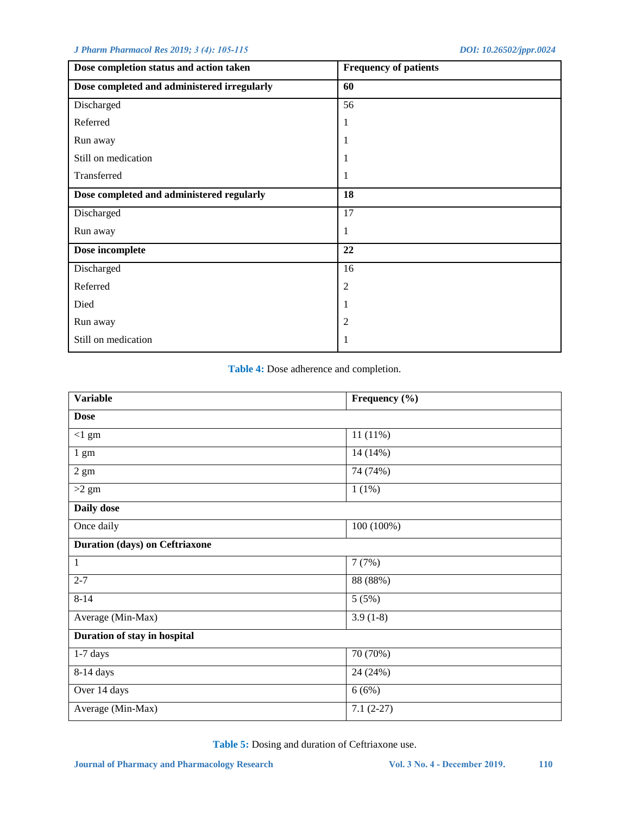| Dose completion status and action taken     | <b>Frequency of patients</b> |  |  |
|---------------------------------------------|------------------------------|--|--|
| Dose completed and administered irregularly | 60                           |  |  |
| Discharged                                  | 56                           |  |  |
| Referred                                    | 1                            |  |  |
| Run away                                    | 1                            |  |  |
| Still on medication                         | 1                            |  |  |
| Transferred                                 | 1                            |  |  |
| Dose completed and administered regularly   | 18                           |  |  |
| Discharged                                  | 17                           |  |  |
| Run away                                    | 1                            |  |  |
| Dose incomplete                             | 22                           |  |  |
| Discharged                                  | 16                           |  |  |
| Referred                                    | $\overline{c}$               |  |  |
| Died                                        | 1                            |  |  |
| Run away                                    | 2                            |  |  |
| Still on medication                         | 1                            |  |  |

**Table 4:** Dose adherence and completion.

| <b>Variable</b>                       | Frequency (%) |  |  |  |
|---------------------------------------|---------------|--|--|--|
| <b>Dose</b>                           |               |  |  |  |
| $<1$ gm                               | $11(11\%)$    |  |  |  |
| $1 \text{ gm}$                        | 14 (14%)      |  |  |  |
| $2\ \mathrm{gm}$                      | 74 (74%)      |  |  |  |
| $>2$ gm                               | 1(1%)         |  |  |  |
| Daily dose                            |               |  |  |  |
| Once daily                            | 100 (100%)    |  |  |  |
| <b>Duration (days) on Ceftriaxone</b> |               |  |  |  |
| 1                                     | 7(7%)         |  |  |  |
| $2 - 7$                               | 88 (88%)      |  |  |  |
| $8 - 14$                              | 5(5%)         |  |  |  |
| Average (Min-Max)                     | $3.9(1-8)$    |  |  |  |
| Duration of stay in hospital          |               |  |  |  |
| $1-7$ days                            | 70 (70%)      |  |  |  |
| $8-14$ days                           | 24 (24%)      |  |  |  |
| Over 14 days                          | 6(6%)         |  |  |  |
| Average (Min-Max)                     | $7.1(2-27)$   |  |  |  |

**Table 5:** Dosing and duration of Ceftriaxone use.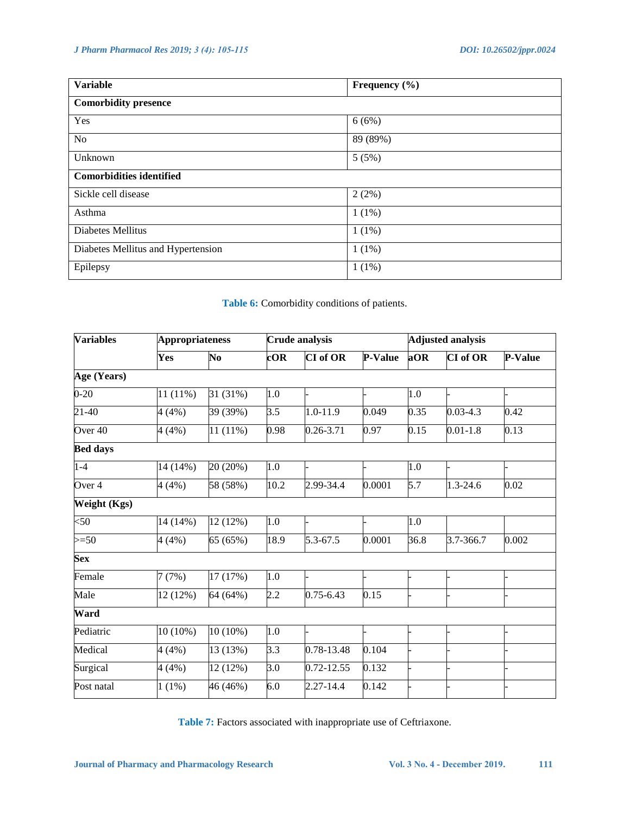| <b>Variable</b>                    | Frequency $(\% )$ |  |  |
|------------------------------------|-------------------|--|--|
| <b>Comorbidity presence</b>        |                   |  |  |
| Yes                                | 6(6%)             |  |  |
| No                                 | 89 (89%)          |  |  |
| Unknown                            | 5(5%)             |  |  |
| <b>Comorbidities identified</b>    |                   |  |  |
| Sickle cell disease                | 2(2%)             |  |  |
| Asthma                             | $1(1\%)$          |  |  |
| Diabetes Mellitus                  | $1(1\%)$          |  |  |
| Diabetes Mellitus and Hypertension | $1(1\%)$          |  |  |
| Epilepsy                           | $1(1\%)$          |  |  |

# **Table 6:** Comorbidity conditions of patients.

| <b>Variables</b>   |            | <b>Appropriateness</b> |                  | <b>Crude analysis</b> |                |      | <b>Adjusted analysis</b> |                |  |
|--------------------|------------|------------------------|------------------|-----------------------|----------------|------|--------------------------|----------------|--|
|                    | Yes        | No                     | cOR              | <b>CI</b> of OR       | <b>P-Value</b> | aOR  | <b>CI</b> of OR          | <b>P-Value</b> |  |
| Age (Years)        |            |                        |                  |                       |                |      |                          |                |  |
| $0 - 20$           | 11 (11%)   | 31 (31%)               | 1.0              |                       |                | 1.0  |                          |                |  |
| 21-40              | 4(4%)      | 39 (39%)               | $\overline{3.5}$ | 1.0-11.9              | 0.049          | 0.35 | $0.03 - 4.3$             | 0.42           |  |
| Over <sub>40</sub> | 4(4%)      | $11(11\%)$             | 0.98             | 0.26-3.71             | 0.97           | 0.15 | $0.01 - 1.8$             | 0.13           |  |
| <b>Bed days</b>    |            |                        |                  |                       |                |      |                          |                |  |
| $1-4$              | 14 (14%)   | 20 (20%)               | 1.0              |                       |                | 1.0  |                          |                |  |
| Over 4             | 4(4%)      | 58 (58%)               | 10.2             | 2.99-34.4             | 0.0001         | 5.7  | 1.3-24.6                 | 0.02           |  |
| Weight (Kgs)       |            |                        |                  |                       |                |      |                          |                |  |
| $50$               | 14 (14%)   | 12 (12%)               | 1.0              |                       |                | 1.0  |                          |                |  |
| $>=50$             | 4(4%)      | 65 (65%)               | 18.9             | 5.3-67.5              | 0.0001         | 36.8 | 3.7-366.7                | 0.002          |  |
| <b>Sex</b>         |            |                        |                  |                       |                |      |                          |                |  |
| Female             | 7(7%)      | 17 (17%)               | 1.0              |                       |                |      |                          |                |  |
| Male               | 12 (12%)   | 64 (64%)               | 2.2              | $0.75 - 6.43$         | 0.15           |      |                          |                |  |
| Ward               |            |                        |                  |                       |                |      |                          |                |  |
| Pediatric          | $10(10\%)$ | $10(10\%)$             | 1.0              |                       |                |      |                          |                |  |
| Medical            | 4(4%)      | 13 (13%)               | $\overline{3.3}$ | 0.78-13.48            | 0.104          |      |                          |                |  |
| Surgical           | 4(4%)      | 12 (12%)               | 3.0              | 0.72-12.55            | 0.132          |      |                          |                |  |
| Post natal         | $1(1\%)$   | 46 (46%)               | 6.0              | 2.27-14.4             | 0.142          |      |                          |                |  |

**Table 7:** Factors associated with inappropriate use of Ceftriaxone.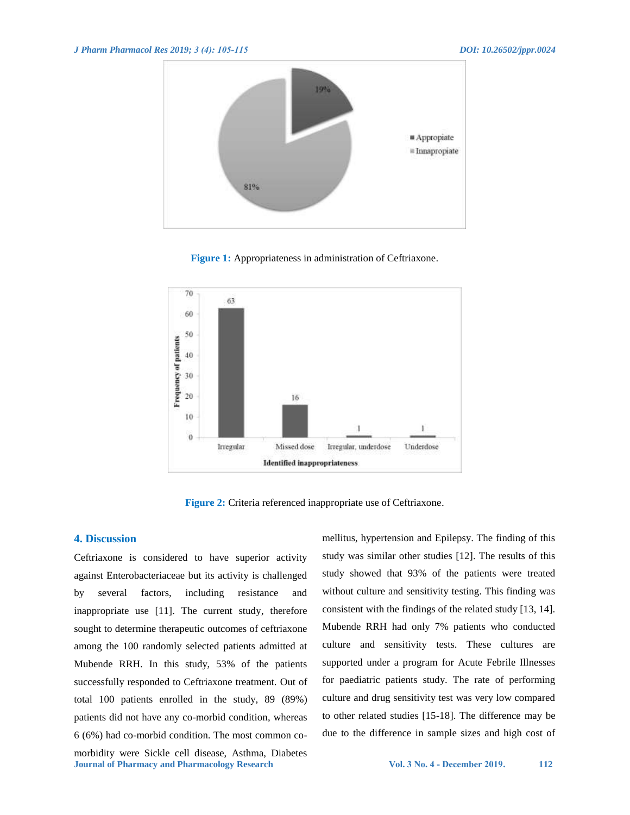

**Figure 1:** Appropriateness in administration of Ceftriaxone.



**Figure 2:** Criteria referenced inappropriate use of Ceftriaxone.

#### **4. Discussion**

**Journal of Pharmacy and Pharmacology Research Vol. 3 No. 4 - December 2019. 112** Ceftriaxone is considered to have superior activity against Enterobacteriaceae but its activity is challenged by several factors, including resistance and inappropriate use [11]. The current study, therefore sought to determine therapeutic outcomes of ceftriaxone among the 100 randomly selected patients admitted at Mubende RRH. In this study, 53% of the patients successfully responded to Ceftriaxone treatment. Out of total 100 patients enrolled in the study, 89 (89%) patients did not have any co-morbid condition, whereas 6 (6%) had co-morbid condition. The most common comorbidity were Sickle cell disease, Asthma, Diabetes

mellitus, hypertension and Epilepsy. The finding of this study was similar other studies [12]. The results of this study showed that 93% of the patients were treated without culture and sensitivity testing. This finding was consistent with the findings of the related study [13, 14]. Mubende RRH had only 7% patients who conducted culture and sensitivity tests. These cultures are supported under a program for Acute Febrile Illnesses for paediatric patients study. The rate of performing culture and drug sensitivity test was very low compared to other related studies [15-18]. The difference may be due to the difference in sample sizes and high cost of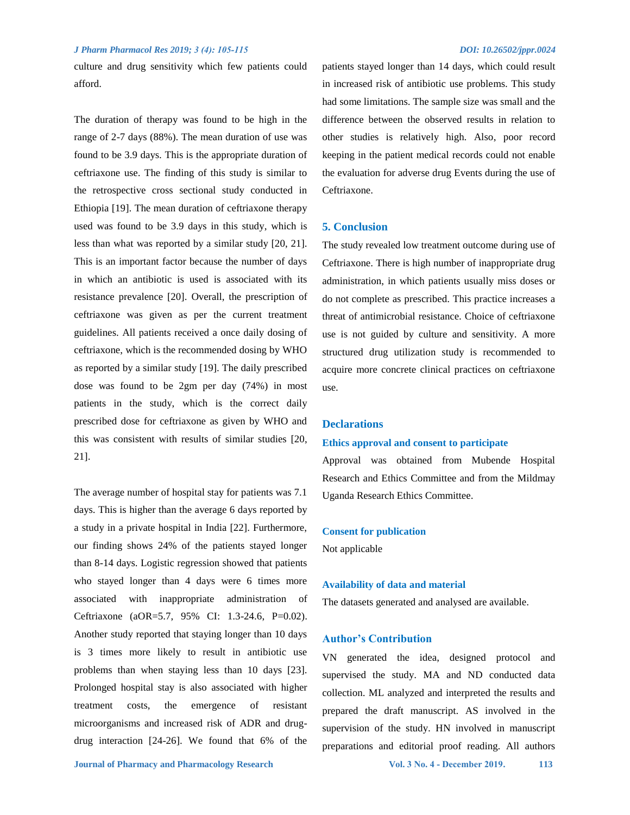culture and drug sensitivity which few patients could afford.

The duration of therapy was found to be high in the range of 2-7 days (88%). The mean duration of use was found to be 3.9 days. This is the appropriate duration of ceftriaxone use. The finding of this study is similar to the retrospective cross sectional study conducted in Ethiopia [19]. The mean duration of ceftriaxone therapy used was found to be 3.9 days in this study, which is less than what was reported by a similar study [20, 21]. This is an important factor because the number of days in which an antibiotic is used is associated with its resistance prevalence [20]. Overall, the prescription of ceftriaxone was given as per the current treatment guidelines. All patients received a once daily dosing of ceftriaxone, which is the recommended dosing by WHO as reported by a similar study [19]. The daily prescribed dose was found to be 2gm per day (74%) in most patients in the study, which is the correct daily prescribed dose for ceftriaxone as given by WHO and this was consistent with results of similar studies [20, 21].

The average number of hospital stay for patients was 7.1 days. This is higher than the average 6 days reported by a study in a private hospital in India [22]. Furthermore, our finding shows 24% of the patients stayed longer than 8-14 days. Logistic regression showed that patients who stayed longer than 4 days were 6 times more associated with inappropriate administration of Ceftriaxone (aOR=5.7, 95% CI: 1.3-24.6, P=0.02). Another study reported that staying longer than 10 days is 3 times more likely to result in antibiotic use problems than when staying less than 10 days [23]. Prolonged hospital stay is also associated with higher treatment costs, the emergence of resistant microorganisms and increased risk of ADR and drugdrug interaction [24-26]. We found that 6% of the patients stayed longer than 14 days, which could result in increased risk of antibiotic use problems. This study had some limitations. The sample size was small and the difference between the observed results in relation to other studies is relatively high. Also, poor record keeping in the patient medical records could not enable the evaluation for adverse drug Events during the use of Ceftriaxone.

#### **5. Conclusion**

The study revealed low treatment outcome during use of Ceftriaxone. There is high number of inappropriate drug administration, in which patients usually miss doses or do not complete as prescribed. This practice increases a threat of antimicrobial resistance. Choice of ceftriaxone use is not guided by culture and sensitivity. A more structured drug utilization study is recommended to acquire more concrete clinical practices on ceftriaxone use.

#### **Declarations**

#### **Ethics approval and consent to participate**

Approval was obtained from Mubende Hospital Research and Ethics Committee and from the Mildmay Uganda Research Ethics Committee.

#### **Consent for publication**

Not applicable

#### **Availability of data and material**

The datasets generated and analysed are available.

#### **Author's Contribution**

VN generated the idea, designed protocol and supervised the study. MA and ND conducted data collection. ML analyzed and interpreted the results and prepared the draft manuscript. AS involved in the supervision of the study. HN involved in manuscript preparations and editorial proof reading. All authors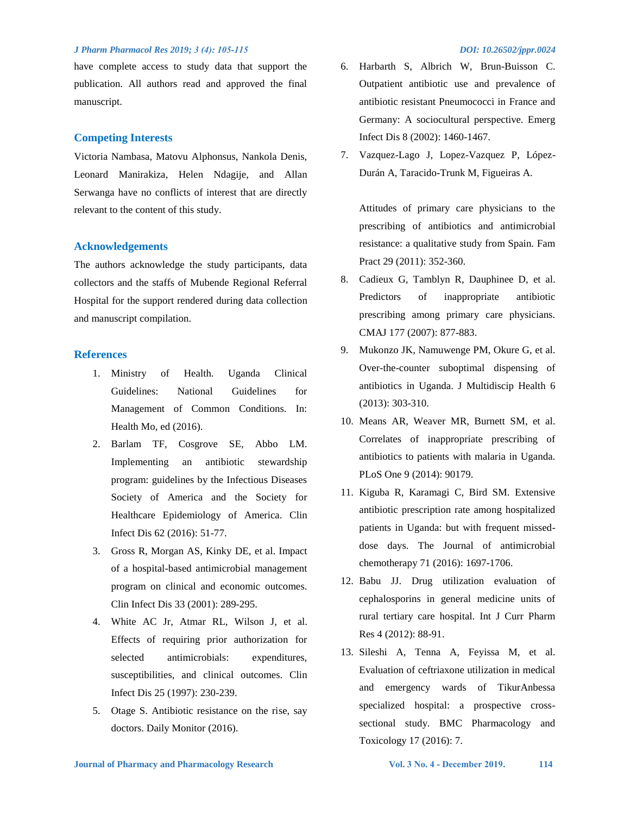have complete access to study data that support the publication. All authors read and approved the final manuscript.

#### **Competing Interests**

Victoria Nambasa, Matovu Alphonsus, Nankola Denis, Leonard Manirakiza, Helen Ndagije, and Allan Serwanga have no conflicts of interest that are directly relevant to the content of this study.

#### **Acknowledgements**

The authors acknowledge the study participants, data collectors and the staffs of Mubende Regional Referral Hospital for the support rendered during data collection and manuscript compilation.

#### **References**

- 1. Ministry of Health. Uganda Clinical Guidelines: National Guidelines for Management of Common Conditions. In: Health Mo, ed (2016).
- 2. Barlam TF, Cosgrove SE, Abbo LM. Implementing an antibiotic stewardship program: guidelines by the Infectious Diseases Society of America and the Society for Healthcare Epidemiology of America. Clin Infect Dis 62 (2016): 51-77.
- 3. Gross R, Morgan AS, Kinky DE, et al. Impact of a hospital-based antimicrobial management program on clinical and economic outcomes. Clin Infect Dis 33 (2001): 289-295.
- 4. White AC Jr, Atmar RL, Wilson J, et al. Effects of requiring prior authorization for selected antimicrobials: expenditures, susceptibilities, and clinical outcomes. Clin Infect Dis 25 (1997): 230-239.
- 5. Otage S. Antibiotic resistance on the rise, say doctors. Daily Monitor (2016).

- 6. Harbarth S, Albrich W, Brun-Buisson C. Outpatient antibiotic use and prevalence of antibiotic resistant Pneumococci in France and Germany: A sociocultural perspective. Emerg Infect Dis 8 (2002): 1460-1467.
- 7. Vazquez-Lago J, Lopez-Vazquez P, López-Durán A, Taracido-Trunk M, Figueiras A.

Attitudes of primary care physicians to the prescribing of antibiotics and antimicrobial resistance: a qualitative study from Spain. Fam Pract 29 (2011): 352-360.

- 8. Cadieux G, Tamblyn R, Dauphinee D, et al. Predictors of inappropriate antibiotic prescribing among primary care physicians. CMAJ 177 (2007): 877-883.
- 9. Mukonzo JK, Namuwenge PM, Okure G, et al. Over-the-counter suboptimal dispensing of antibiotics in Uganda. J Multidiscip Health 6 (2013): 303-310.
- 10. Means AR, Weaver MR, Burnett SM, et al. Correlates of inappropriate prescribing of antibiotics to patients with malaria in Uganda. PLoS One 9 (2014): 90179.
- 11. Kiguba R, Karamagi C, Bird SM. Extensive antibiotic prescription rate among hospitalized patients in Uganda: but with frequent misseddose days. The Journal of antimicrobial chemotherapy 71 (2016): 1697-1706.
- 12. Babu JJ. Drug utilization evaluation of cephalosporins in general medicine units of rural tertiary care hospital. Int J Curr Pharm Res 4 (2012): 88-91.
- 13. Sileshi A, Tenna A, Feyissa M, et al. Evaluation of ceftriaxone utilization in medical and emergency wards of TikurAnbessa specialized hospital: a prospective crosssectional study. BMC Pharmacology and Toxicology 17 (2016): 7.